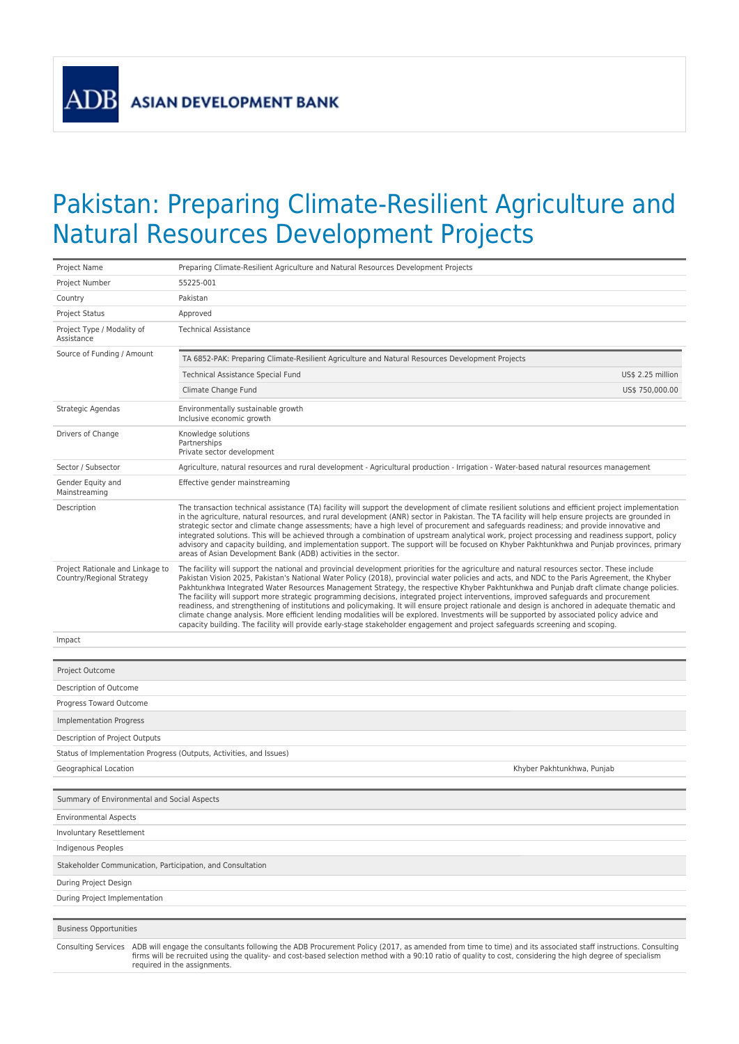ADB

## Pakistan: Preparing Climate-Resilient Agriculture and Natural Resources Development Projects

| Project Name                                                                                                                                                                                                                                                                                                                                                                   | Preparing Climate-Resilient Agriculture and Natural Resources Development Projects                                                                                                                                                                                                                                                                                                                                                                                                                                                                                                                                                                                                                                                                                                                                                                                                                                                                                                                                  |  |  |  |  |  |  |
|--------------------------------------------------------------------------------------------------------------------------------------------------------------------------------------------------------------------------------------------------------------------------------------------------------------------------------------------------------------------------------|---------------------------------------------------------------------------------------------------------------------------------------------------------------------------------------------------------------------------------------------------------------------------------------------------------------------------------------------------------------------------------------------------------------------------------------------------------------------------------------------------------------------------------------------------------------------------------------------------------------------------------------------------------------------------------------------------------------------------------------------------------------------------------------------------------------------------------------------------------------------------------------------------------------------------------------------------------------------------------------------------------------------|--|--|--|--|--|--|
| Project Number                                                                                                                                                                                                                                                                                                                                                                 | 55225-001                                                                                                                                                                                                                                                                                                                                                                                                                                                                                                                                                                                                                                                                                                                                                                                                                                                                                                                                                                                                           |  |  |  |  |  |  |
| Country                                                                                                                                                                                                                                                                                                                                                                        | Pakistan                                                                                                                                                                                                                                                                                                                                                                                                                                                                                                                                                                                                                                                                                                                                                                                                                                                                                                                                                                                                            |  |  |  |  |  |  |
| <b>Project Status</b>                                                                                                                                                                                                                                                                                                                                                          | Approved                                                                                                                                                                                                                                                                                                                                                                                                                                                                                                                                                                                                                                                                                                                                                                                                                                                                                                                                                                                                            |  |  |  |  |  |  |
| Project Type / Modality of<br>Assistance                                                                                                                                                                                                                                                                                                                                       | <b>Technical Assistance</b>                                                                                                                                                                                                                                                                                                                                                                                                                                                                                                                                                                                                                                                                                                                                                                                                                                                                                                                                                                                         |  |  |  |  |  |  |
| Source of Funding / Amount                                                                                                                                                                                                                                                                                                                                                     | TA 6852-PAK: Preparing Climate-Resilient Agriculture and Natural Resources Development Projects                                                                                                                                                                                                                                                                                                                                                                                                                                                                                                                                                                                                                                                                                                                                                                                                                                                                                                                     |  |  |  |  |  |  |
|                                                                                                                                                                                                                                                                                                                                                                                | Technical Assistance Special Fund<br>US\$ 2.25 million                                                                                                                                                                                                                                                                                                                                                                                                                                                                                                                                                                                                                                                                                                                                                                                                                                                                                                                                                              |  |  |  |  |  |  |
|                                                                                                                                                                                                                                                                                                                                                                                | Climate Change Fund<br>US\$ 750,000.00                                                                                                                                                                                                                                                                                                                                                                                                                                                                                                                                                                                                                                                                                                                                                                                                                                                                                                                                                                              |  |  |  |  |  |  |
| Strategic Agendas                                                                                                                                                                                                                                                                                                                                                              | Environmentally sustainable growth<br>Inclusive economic growth                                                                                                                                                                                                                                                                                                                                                                                                                                                                                                                                                                                                                                                                                                                                                                                                                                                                                                                                                     |  |  |  |  |  |  |
| Drivers of Change                                                                                                                                                                                                                                                                                                                                                              | Knowledge solutions<br>Partnerships<br>Private sector development                                                                                                                                                                                                                                                                                                                                                                                                                                                                                                                                                                                                                                                                                                                                                                                                                                                                                                                                                   |  |  |  |  |  |  |
| Sector / Subsector                                                                                                                                                                                                                                                                                                                                                             | Agriculture, natural resources and rural development - Agricultural production - Irrigation - Water-based natural resources management                                                                                                                                                                                                                                                                                                                                                                                                                                                                                                                                                                                                                                                                                                                                                                                                                                                                              |  |  |  |  |  |  |
| Gender Equity and<br>Mainstreaming                                                                                                                                                                                                                                                                                                                                             | Effective gender mainstreaming                                                                                                                                                                                                                                                                                                                                                                                                                                                                                                                                                                                                                                                                                                                                                                                                                                                                                                                                                                                      |  |  |  |  |  |  |
| Description                                                                                                                                                                                                                                                                                                                                                                    | The transaction technical assistance (TA) facility will support the development of climate resilient solutions and efficient project implementation<br>in the agriculture, natural resources, and rural development (ANR) sector in Pakistan. The TA facility will help ensure projects are grounded in<br>strategic sector and climate change assessments; have a high level of procurement and safeguards readiness; and provide innovative and<br>integrated solutions. This will be achieved through a combination of upstream analytical work, project processing and readiness support, policy<br>advisory and capacity building, and implementation support. The support will be focused on Khyber Pakhtunkhwa and Punjab provinces, primary<br>areas of Asian Development Bank (ADB) activities in the sector.                                                                                                                                                                                              |  |  |  |  |  |  |
| Project Rationale and Linkage to<br>Country/Regional Strategy                                                                                                                                                                                                                                                                                                                  | The facility will support the national and provincial development priorities for the agriculture and natural resources sector. These include<br>Pakistan Vision 2025, Pakistan's National Water Policy (2018), provincial water policies and acts, and NDC to the Paris Agreement, the Khyber<br>Pakhtunkhwa Integrated Water Resources Management Strategy, the respective Khyber Pakhtunkhwa and Punjab draft climate change policies.<br>The facility will support more strategic programming decisions, integrated project interventions, improved safeguards and procurement<br>readiness, and strengthening of institutions and policymaking. It will ensure project rationale and design is anchored in adequate thematic and<br>climate change analysis. More efficient lending modalities will be explored. Investments will be supported by associated policy advice and<br>capacity building. The facility will provide early-stage stakeholder engagement and project safeguards screening and scoping. |  |  |  |  |  |  |
| Impact                                                                                                                                                                                                                                                                                                                                                                         |                                                                                                                                                                                                                                                                                                                                                                                                                                                                                                                                                                                                                                                                                                                                                                                                                                                                                                                                                                                                                     |  |  |  |  |  |  |
|                                                                                                                                                                                                                                                                                                                                                                                |                                                                                                                                                                                                                                                                                                                                                                                                                                                                                                                                                                                                                                                                                                                                                                                                                                                                                                                                                                                                                     |  |  |  |  |  |  |
| Project Outcome                                                                                                                                                                                                                                                                                                                                                                |                                                                                                                                                                                                                                                                                                                                                                                                                                                                                                                                                                                                                                                                                                                                                                                                                                                                                                                                                                                                                     |  |  |  |  |  |  |
| Description of Outcome                                                                                                                                                                                                                                                                                                                                                         |                                                                                                                                                                                                                                                                                                                                                                                                                                                                                                                                                                                                                                                                                                                                                                                                                                                                                                                                                                                                                     |  |  |  |  |  |  |
| Progress Toward Outcome                                                                                                                                                                                                                                                                                                                                                        |                                                                                                                                                                                                                                                                                                                                                                                                                                                                                                                                                                                                                                                                                                                                                                                                                                                                                                                                                                                                                     |  |  |  |  |  |  |
| Implementation Progress                                                                                                                                                                                                                                                                                                                                                        |                                                                                                                                                                                                                                                                                                                                                                                                                                                                                                                                                                                                                                                                                                                                                                                                                                                                                                                                                                                                                     |  |  |  |  |  |  |
| Description of Project Outputs                                                                                                                                                                                                                                                                                                                                                 |                                                                                                                                                                                                                                                                                                                                                                                                                                                                                                                                                                                                                                                                                                                                                                                                                                                                                                                                                                                                                     |  |  |  |  |  |  |
|                                                                                                                                                                                                                                                                                                                                                                                | Status of Implementation Progress (Outputs, Activities, and Issues)                                                                                                                                                                                                                                                                                                                                                                                                                                                                                                                                                                                                                                                                                                                                                                                                                                                                                                                                                 |  |  |  |  |  |  |
| Geographical Location<br>Khyber Pakhtunkhwa, Punjab                                                                                                                                                                                                                                                                                                                            |                                                                                                                                                                                                                                                                                                                                                                                                                                                                                                                                                                                                                                                                                                                                                                                                                                                                                                                                                                                                                     |  |  |  |  |  |  |
|                                                                                                                                                                                                                                                                                                                                                                                |                                                                                                                                                                                                                                                                                                                                                                                                                                                                                                                                                                                                                                                                                                                                                                                                                                                                                                                                                                                                                     |  |  |  |  |  |  |
| Summary of Environmental and Social Aspects                                                                                                                                                                                                                                                                                                                                    |                                                                                                                                                                                                                                                                                                                                                                                                                                                                                                                                                                                                                                                                                                                                                                                                                                                                                                                                                                                                                     |  |  |  |  |  |  |
| <b>Environmental Aspects</b>                                                                                                                                                                                                                                                                                                                                                   |                                                                                                                                                                                                                                                                                                                                                                                                                                                                                                                                                                                                                                                                                                                                                                                                                                                                                                                                                                                                                     |  |  |  |  |  |  |
| Involuntary Resettlement                                                                                                                                                                                                                                                                                                                                                       |                                                                                                                                                                                                                                                                                                                                                                                                                                                                                                                                                                                                                                                                                                                                                                                                                                                                                                                                                                                                                     |  |  |  |  |  |  |
| Indigenous Peoples                                                                                                                                                                                                                                                                                                                                                             |                                                                                                                                                                                                                                                                                                                                                                                                                                                                                                                                                                                                                                                                                                                                                                                                                                                                                                                                                                                                                     |  |  |  |  |  |  |
| Stakeholder Communication, Participation, and Consultation                                                                                                                                                                                                                                                                                                                     |                                                                                                                                                                                                                                                                                                                                                                                                                                                                                                                                                                                                                                                                                                                                                                                                                                                                                                                                                                                                                     |  |  |  |  |  |  |
| During Project Design                                                                                                                                                                                                                                                                                                                                                          |                                                                                                                                                                                                                                                                                                                                                                                                                                                                                                                                                                                                                                                                                                                                                                                                                                                                                                                                                                                                                     |  |  |  |  |  |  |
| During Project Implementation                                                                                                                                                                                                                                                                                                                                                  |                                                                                                                                                                                                                                                                                                                                                                                                                                                                                                                                                                                                                                                                                                                                                                                                                                                                                                                                                                                                                     |  |  |  |  |  |  |
|                                                                                                                                                                                                                                                                                                                                                                                |                                                                                                                                                                                                                                                                                                                                                                                                                                                                                                                                                                                                                                                                                                                                                                                                                                                                                                                                                                                                                     |  |  |  |  |  |  |
| <b>Business Opportunities</b>                                                                                                                                                                                                                                                                                                                                                  |                                                                                                                                                                                                                                                                                                                                                                                                                                                                                                                                                                                                                                                                                                                                                                                                                                                                                                                                                                                                                     |  |  |  |  |  |  |
| Consulting Services ADB will engage the consultants following the ADB Procurement Policy (2017, as amended from time to time) and its associated staff instructions. Consulting<br>firms will be recruited using the quality- and cost-based selection method with a 90:10 ratio of quality to cost, considering the high degree of specialism<br>required in the assignments. |                                                                                                                                                                                                                                                                                                                                                                                                                                                                                                                                                                                                                                                                                                                                                                                                                                                                                                                                                                                                                     |  |  |  |  |  |  |
|                                                                                                                                                                                                                                                                                                                                                                                |                                                                                                                                                                                                                                                                                                                                                                                                                                                                                                                                                                                                                                                                                                                                                                                                                                                                                                                                                                                                                     |  |  |  |  |  |  |